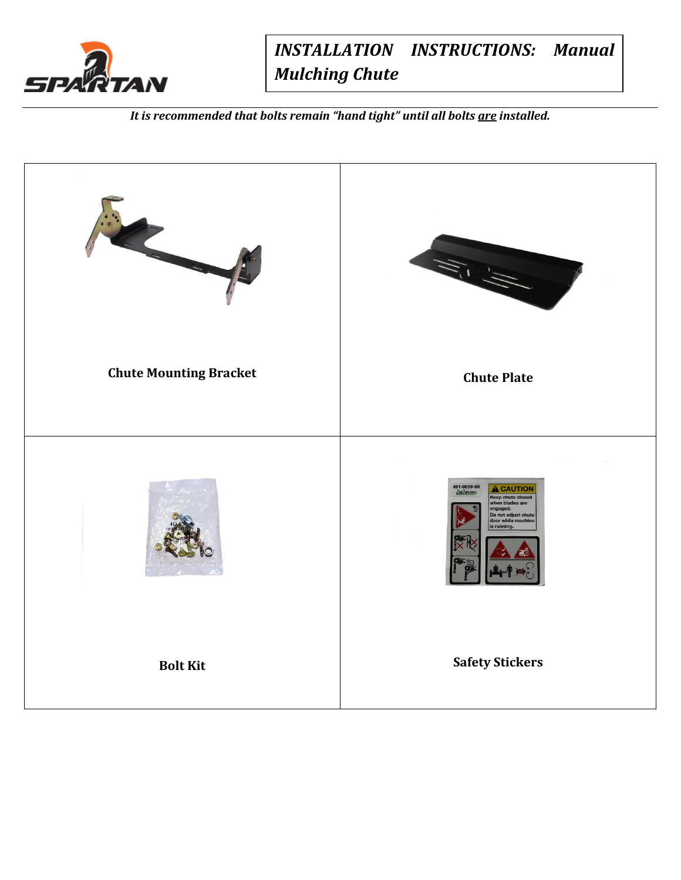

*INSTALLATION INSTRUCTIONS: Manual Mulching Chute*

*It is recommended that bolts remain "hand tight" until all bolts are installed.*

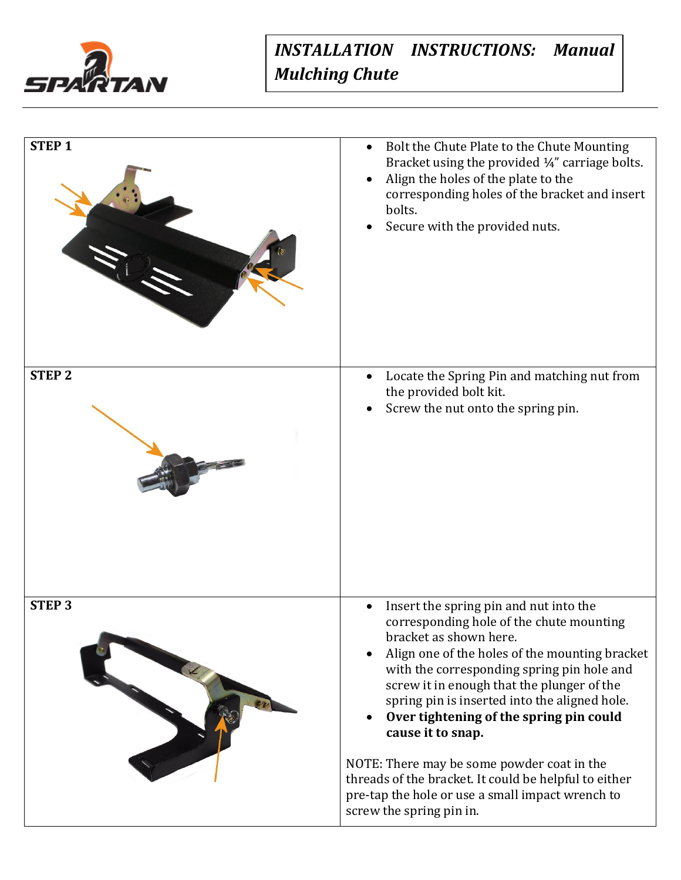

## *INSTALLATION INSTRUCTIONS: Manual Mulching Chute*

| <b>STEP1</b>  | Bolt the Chute Plate to the Chute Mounting<br>Bracket using the provided 1/4" carriage bolts.<br>Align the holes of the plate to the<br>corresponding holes of the bracket and insert<br>bolts.<br>Secure with the provided nuts.                                                                                                                                                                                                                                                                                                                                  |
|---------------|--------------------------------------------------------------------------------------------------------------------------------------------------------------------------------------------------------------------------------------------------------------------------------------------------------------------------------------------------------------------------------------------------------------------------------------------------------------------------------------------------------------------------------------------------------------------|
| <b>STEP 2</b> | Locate the Spring Pin and matching nut from<br>the provided bolt kit.<br>Screw the nut onto the spring pin.                                                                                                                                                                                                                                                                                                                                                                                                                                                        |
| <b>STEP3</b>  | Insert the spring pin and nut into the<br>corresponding hole of the chute mounting<br>bracket as shown here.<br>Align one of the holes of the mounting bracket<br>with the corresponding spring pin hole and<br>screw it in enough that the plunger of the<br>spring pin is inserted into the aligned hole.<br>Over tightening of the spring pin could<br>cause it to snap.<br>NOTE: There may be some powder coat in the<br>threads of the bracket. It could be helpful to either<br>pre-tap the hole or use a small impact wrench to<br>screw the spring pin in. |